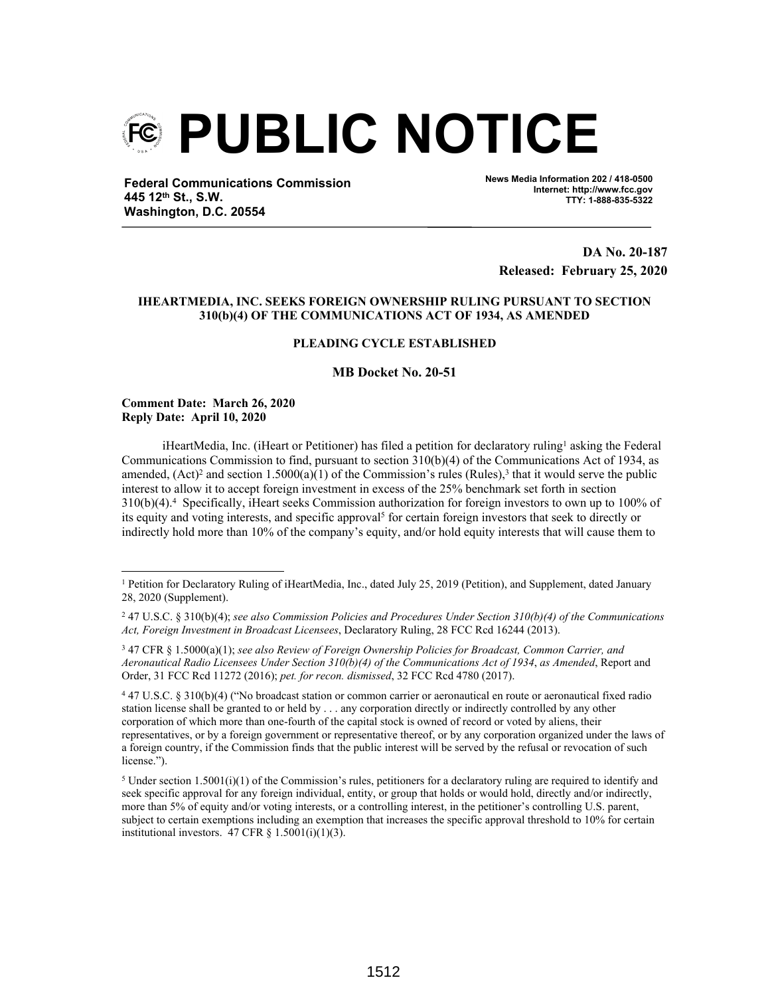

**Federal Communications Commission 445 12th St., S.W. Washington, D.C. 20554**

**News Media Information 202 / 418-0500 Internet: http://www.fcc.gov TTY: 1-888-835-5322**

**DA No. 20-187 Released: February 25, 2020**

# **IHEARTMEDIA, INC. SEEKS FOREIGN OWNERSHIP RULING PURSUANT TO SECTION 310(b)(4) OF THE COMMUNICATIONS ACT OF 1934, AS AMENDED**

# **PLEADING CYCLE ESTABLISHED**

# **MB Docket No. 20-51**

**Comment Date: March 26, 2020 Reply Date: April 10, 2020**

iHeartMedia, Inc. (iHeart or Petitioner) has filed a petition for declaratory ruling<sup>1</sup> asking the Federal Communications Commission to find, pursuant to section 310(b)(4) of the Communications Act of 1934, as amended,  $(Act)^2$  and section 1.5000(a)(1) of the Commission's rules (Rules),<sup>3</sup> that it would serve the public interest to allow it to accept foreign investment in excess of the 25% benchmark set forth in section 310(b)(4).<sup>4</sup> Specifically, iHeart seeks Commission authorization for foreign investors to own up to 100% of its equity and voting interests, and specific approval<sup>5</sup> for certain foreign investors that seek to directly or indirectly hold more than 10% of the company's equity, and/or hold equity interests that will cause them to

4 47 U.S.C. § 310(b)(4) ("No broadcast station or common carrier or aeronautical en route or aeronautical fixed radio station license shall be granted to or held by . . . any corporation directly or indirectly controlled by any other corporation of which more than one-fourth of the capital stock is owned of record or voted by aliens, their representatives, or by a foreign government or representative thereof, or by any corporation organized under the laws of a foreign country, if the Commission finds that the public interest will be served by the refusal or revocation of such license.").

<sup>5</sup> Under section 1.5001(i)(1) of the Commission's rules, petitioners for a declaratory ruling are required to identify and seek specific approval for any foreign individual, entity, or group that holds or would hold, directly and/or indirectly, more than 5% of equity and/or voting interests, or a controlling interest, in the petitioner's controlling U.S. parent, subject to certain exemptions including an exemption that increases the specific approval threshold to 10% for certain institutional investors.  $47 \text{ CFR } \S$  1.5001(i)(1)(3).

<sup>&</sup>lt;sup>1</sup> Petition for Declaratory Ruling of iHeartMedia, Inc., dated July 25, 2019 (Petition), and Supplement, dated January 28, 2020 (Supplement).

<sup>2</sup> 47 U.S.C. § 310(b)(4); *see also Commission Policies and Procedures Under Section 310(b)(4) of the Communications Act, Foreign Investment in Broadcast Licensees*, Declaratory Ruling, 28 FCC Rcd 16244 (2013).

<sup>3</sup> 47 CFR § 1.5000(a)(1); *see also Review of Foreign Ownership Policies for Broadcast, Common Carrier, and Aeronautical Radio Licensees Under Section 310(b)(4) of the Communications Act of 1934*, *as Amended*, Report and Order, 31 FCC Rcd 11272 (2016); *pet. for recon. dismissed*, 32 FCC Rcd 4780 (2017).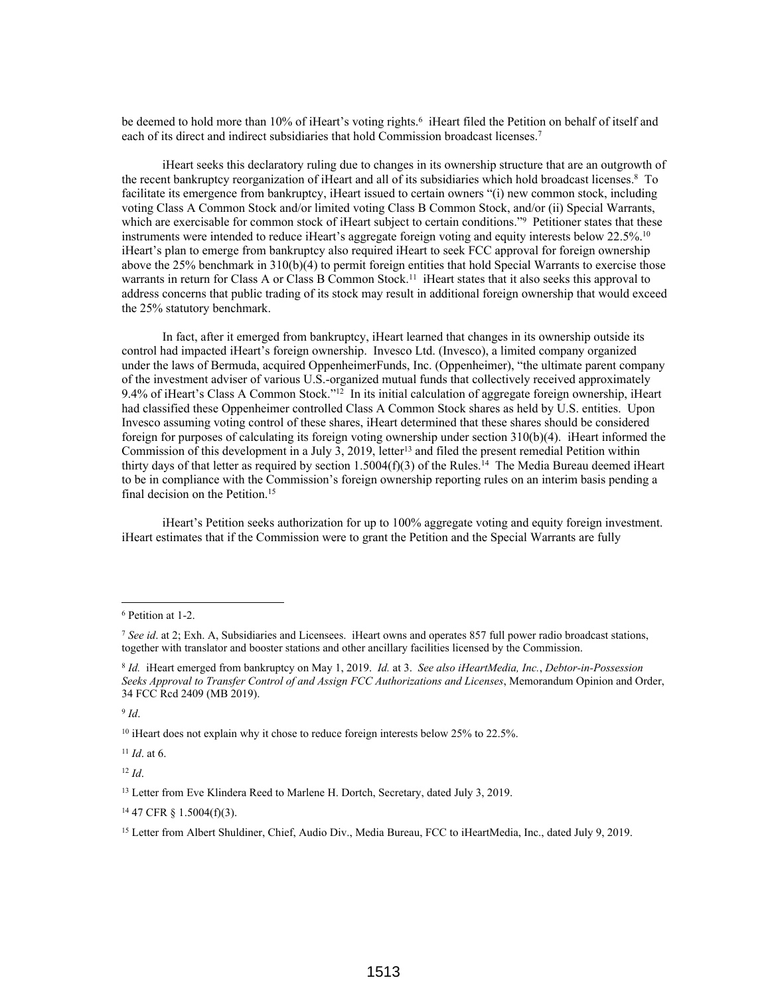be deemed to hold more than 10% of iHeart's voting rights.<sup>6</sup> iHeart filed the Petition on behalf of itself and each of its direct and indirect subsidiaries that hold Commission broadcast licenses.<sup>7</sup>

iHeart seeks this declaratory ruling due to changes in its ownership structure that are an outgrowth of the recent bankruptcy reorganization of iHeart and all of its subsidiaries which hold broadcast licenses.<sup>8</sup> To facilitate its emergence from bankruptcy, iHeart issued to certain owners "(i) new common stock, including voting Class A Common Stock and/or limited voting Class B Common Stock, and/or (ii) Special Warrants, which are exercisable for common stock of iHeart subject to certain conditions."<sup>9</sup> Petitioner states that these instruments were intended to reduce iHeart's aggregate foreign voting and equity interests below 22.5%.<sup>10</sup> iHeart's plan to emerge from bankruptcy also required iHeart to seek FCC approval for foreign ownership above the 25% benchmark in 310(b)(4) to permit foreign entities that hold Special Warrants to exercise those warrants in return for Class A or Class B Common Stock.<sup>11</sup> iHeart states that it also seeks this approval to address concerns that public trading of its stock may result in additional foreign ownership that would exceed the 25% statutory benchmark.

In fact, after it emerged from bankruptcy, iHeart learned that changes in its ownership outside its control had impacted iHeart's foreign ownership. Invesco Ltd. (Invesco), a limited company organized under the laws of Bermuda, acquired OppenheimerFunds, Inc. (Oppenheimer), "the ultimate parent company of the investment adviser of various U.S.-organized mutual funds that collectively received approximately 9.4% of iHeart's Class A Common Stock."<sup>12</sup> In its initial calculation of aggregate foreign ownership, iHeart had classified these Oppenheimer controlled Class A Common Stock shares as held by U.S. entities. Upon Invesco assuming voting control of these shares, iHeart determined that these shares should be considered foreign for purposes of calculating its foreign voting ownership under section 310(b)(4). iHeart informed the Commission of this development in a July 3, 2019, letter<sup>13</sup> and filed the present remedial Petition within thirty days of that letter as required by section 1.5004(f)(3) of the Rules.<sup>14</sup> The Media Bureau deemed iHeart to be in compliance with the Commission's foreign ownership reporting rules on an interim basis pending a final decision on the Petition.<sup>15</sup>

iHeart's Petition seeks authorization for up to 100% aggregate voting and equity foreign investment. iHeart estimates that if the Commission were to grant the Petition and the Special Warrants are fully

9 *Id*.

<sup>11</sup> *Id*. at 6.

<sup>12</sup> *Id*.

<sup>14</sup> 47 CFR § 1.5004(f)(3).

<sup>6</sup> Petition at 1-2.

<sup>7</sup> *See id*. at 2; Exh. A, Subsidiaries and Licensees. iHeart owns and operates 857 full power radio broadcast stations, together with translator and booster stations and other ancillary facilities licensed by the Commission.

<sup>8</sup> *Id.* iHeart emerged from bankruptcy on May 1, 2019. *Id.* at 3. *See also iHeartMedia, Inc.*, *Debtor-in-Possession Seeks Approval to Transfer Control of and Assign FCC Authorizations and Licenses*, Memorandum Opinion and Order, 34 FCC Rcd 2409 (MB 2019).

<sup>&</sup>lt;sup>10</sup> iHeart does not explain why it chose to reduce foreign interests below 25% to 22.5%.

<sup>&</sup>lt;sup>13</sup> Letter from Eve Klindera Reed to Marlene H. Dortch, Secretary, dated July 3, 2019.

<sup>&</sup>lt;sup>15</sup> Letter from Albert Shuldiner, Chief, Audio Div., Media Bureau, FCC to iHeartMedia, Inc., dated July 9, 2019.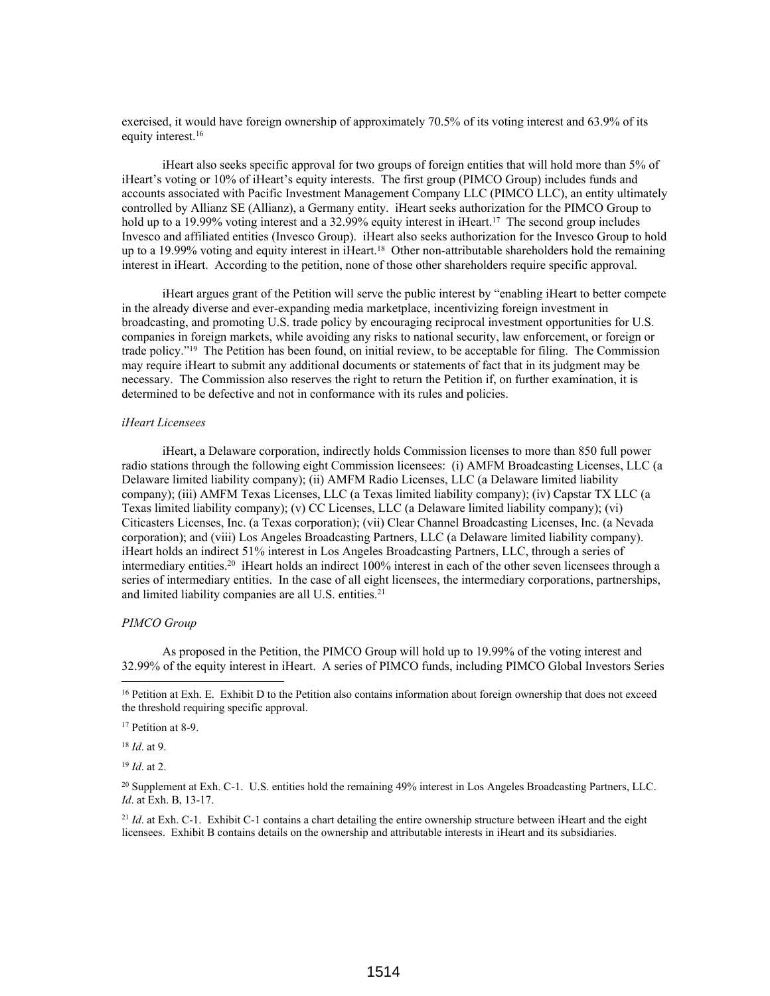exercised, it would have foreign ownership of approximately 70.5% of its voting interest and 63.9% of its equity interest.<sup>16</sup>

iHeart also seeks specific approval for two groups of foreign entities that will hold more than 5% of iHeart's voting or 10% of iHeart's equity interests. The first group (PIMCO Group) includes funds and accounts associated with Pacific Investment Management Company LLC (PIMCO LLC), an entity ultimately controlled by Allianz SE (Allianz), a Germany entity. iHeart seeks authorization for the PIMCO Group to hold up to a 19.99% voting interest and a 32.99% equity interest in iHeart.<sup>17</sup> The second group includes Invesco and affiliated entities (Invesco Group). iHeart also seeks authorization for the Invesco Group to hold up to a 19.99% voting and equity interest in iHeart.<sup>18</sup> Other non-attributable shareholders hold the remaining interest in iHeart. According to the petition, none of those other shareholders require specific approval.

iHeart argues grant of the Petition will serve the public interest by "enabling iHeart to better compete in the already diverse and ever-expanding media marketplace, incentivizing foreign investment in broadcasting, and promoting U.S. trade policy by encouraging reciprocal investment opportunities for U.S. companies in foreign markets, while avoiding any risks to national security, law enforcement, or foreign or trade policy."<sup>19</sup> The Petition has been found, on initial review, to be acceptable for filing. The Commission may require iHeart to submit any additional documents or statements of fact that in its judgment may be necessary. The Commission also reserves the right to return the Petition if, on further examination, it is determined to be defective and not in conformance with its rules and policies.

### *iHeart Licensees*

iHeart, a Delaware corporation, indirectly holds Commission licenses to more than 850 full power radio stations through the following eight Commission licensees: (i) AMFM Broadcasting Licenses, LLC (a Delaware limited liability company); (ii) AMFM Radio Licenses, LLC (a Delaware limited liability company); (iii) AMFM Texas Licenses, LLC (a Texas limited liability company); (iv) Capstar TX LLC (a Texas limited liability company); (v) CC Licenses, LLC (a Delaware limited liability company); (vi) Citicasters Licenses, Inc. (a Texas corporation); (vii) Clear Channel Broadcasting Licenses, Inc. (a Nevada corporation); and (viii) Los Angeles Broadcasting Partners, LLC (a Delaware limited liability company). iHeart holds an indirect 51% interest in Los Angeles Broadcasting Partners, LLC, through a series of intermediary entities.<sup>20</sup> iHeart holds an indirect 100% interest in each of the other seven licensees through a series of intermediary entities. In the case of all eight licensees, the intermediary corporations, partnerships, and limited liability companies are all U.S. entities.<sup>21</sup>

#### *PIMCO Group*

As proposed in the Petition, the PIMCO Group will hold up to 19.99% of the voting interest and 32.99% of the equity interest in iHeart. A series of PIMCO funds, including PIMCO Global Investors Series

<sup>18</sup> *Id*. at 9.

<sup>19</sup> *Id*. at 2.

<sup>21</sup> *Id.* at Exh. C-1. Exhibit C-1 contains a chart detailing the entire ownership structure between iHeart and the eight licensees. Exhibit B contains details on the ownership and attributable interests in iHeart and its subsidiaries.

<sup>&</sup>lt;sup>16</sup> Petition at Exh. E. Exhibit D to the Petition also contains information about foreign ownership that does not exceed the threshold requiring specific approval.

<sup>&</sup>lt;sup>17</sup> Petition at 8-9.

<sup>20</sup> Supplement at Exh. C-1. U.S. entities hold the remaining 49% interest in Los Angeles Broadcasting Partners, LLC. *Id*. at Exh. B, 13-17.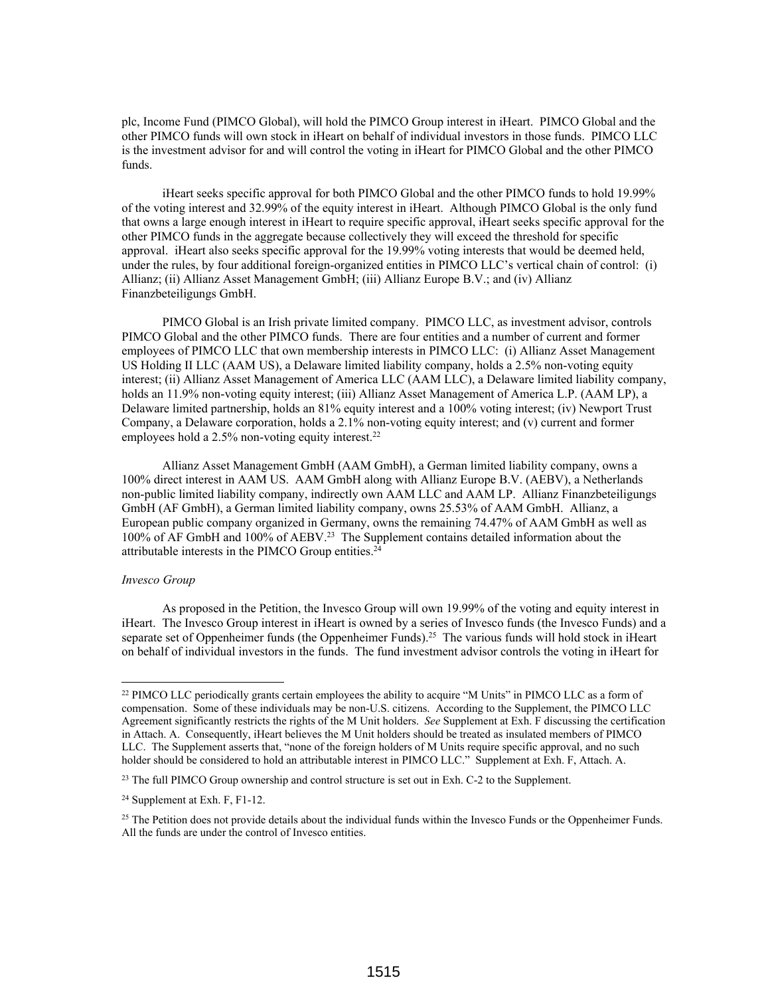plc, Income Fund (PIMCO Global), will hold the PIMCO Group interest in iHeart. PIMCO Global and the other PIMCO funds will own stock in iHeart on behalf of individual investors in those funds. PIMCO LLC is the investment advisor for and will control the voting in iHeart for PIMCO Global and the other PIMCO funds.

iHeart seeks specific approval for both PIMCO Global and the other PIMCO funds to hold 19.99% of the voting interest and 32.99% of the equity interest in iHeart. Although PIMCO Global is the only fund that owns a large enough interest in iHeart to require specific approval, iHeart seeks specific approval for the other PIMCO funds in the aggregate because collectively they will exceed the threshold for specific approval. iHeart also seeks specific approval for the 19.99% voting interests that would be deemed held, under the rules, by four additional foreign-organized entities in PIMCO LLC's vertical chain of control: (i) Allianz; (ii) Allianz Asset Management GmbH; (iii) Allianz Europe B.V.; and (iv) Allianz Finanzbeteiligungs GmbH.

PIMCO Global is an Irish private limited company. PIMCO LLC, as investment advisor, controls PIMCO Global and the other PIMCO funds. There are four entities and a number of current and former employees of PIMCO LLC that own membership interests in PIMCO LLC: (i) Allianz Asset Management US Holding II LLC (AAM US), a Delaware limited liability company, holds a 2.5% non-voting equity interest; (ii) Allianz Asset Management of America LLC (AAM LLC), a Delaware limited liability company, holds an 11.9% non-voting equity interest; (iii) Allianz Asset Management of America L.P. (AAM LP), a Delaware limited partnership, holds an 81% equity interest and a 100% voting interest; (iv) Newport Trust Company, a Delaware corporation, holds a 2.1% non-voting equity interest; and (v) current and former employees hold a 2.5% non-voting equity interest.<sup>22</sup>

Allianz Asset Management GmbH (AAM GmbH), a German limited liability company, owns a 100% direct interest in AAM US. AAM GmbH along with Allianz Europe B.V. (AEBV), a Netherlands non-public limited liability company, indirectly own AAM LLC and AAM LP. Allianz Finanzbeteiligungs GmbH (AF GmbH), a German limited liability company, owns 25.53% of AAM GmbH. Allianz, a European public company organized in Germany, owns the remaining 74.47% of AAM GmbH as well as 100% of AF GmbH and 100% of AEBV.<sup>23</sup> The Supplement contains detailed information about the attributable interests in the PIMCO Group entities.<sup>24</sup>

### *Invesco Group*

As proposed in the Petition, the Invesco Group will own 19.99% of the voting and equity interest in iHeart. The Invesco Group interest in iHeart is owned by a series of Invesco funds (the Invesco Funds) and a separate set of Oppenheimer funds (the Oppenheimer Funds).<sup>25</sup> The various funds will hold stock in iHeart on behalf of individual investors in the funds. The fund investment advisor controls the voting in iHeart for

<sup>22</sup> PIMCO LLC periodically grants certain employees the ability to acquire "M Units" in PIMCO LLC as a form of compensation. Some of these individuals may be non-U.S. citizens. According to the Supplement, the PIMCO LLC Agreement significantly restricts the rights of the M Unit holders. *See* Supplement at Exh. F discussing the certification in Attach. A. Consequently, iHeart believes the M Unit holders should be treated as insulated members of PIMCO LLC. The Supplement asserts that, "none of the foreign holders of M Units require specific approval, and no such holder should be considered to hold an attributable interest in PIMCO LLC." Supplement at Exh. F, Attach. A.

<sup>23</sup> The full PIMCO Group ownership and control structure is set out in Exh. C-2 to the Supplement.

<sup>24</sup> Supplement at Exh. F, F1-12.

 $25$  The Petition does not provide details about the individual funds within the Invesco Funds or the Oppenheimer Funds. All the funds are under the control of Invesco entities.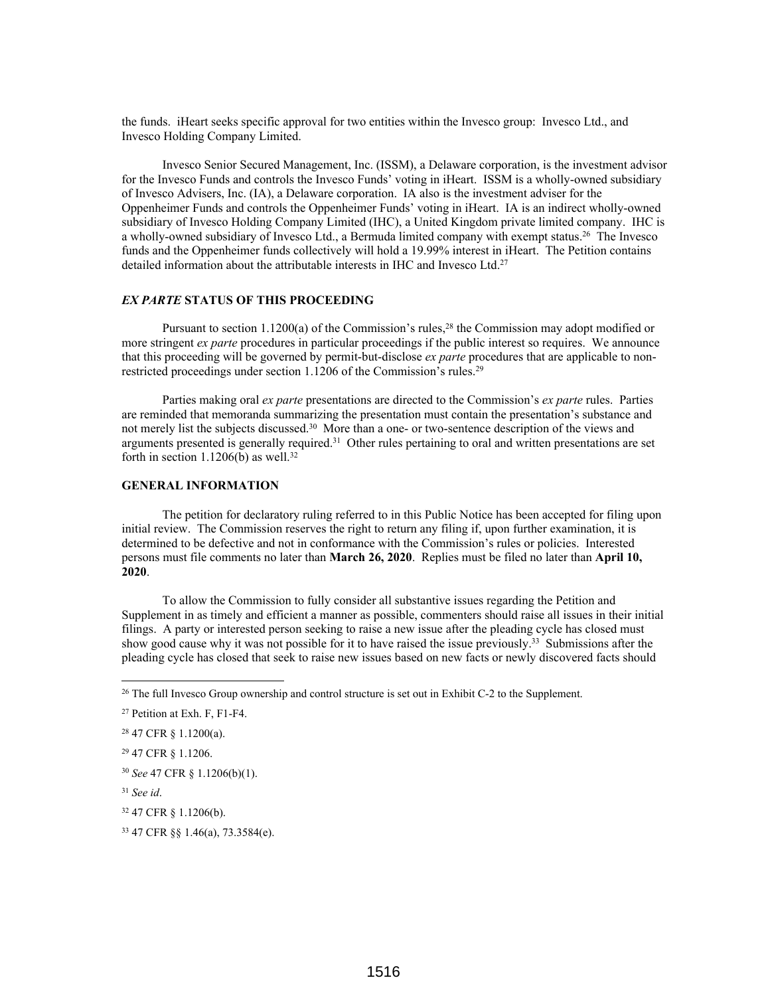the funds. iHeart seeks specific approval for two entities within the Invesco group: Invesco Ltd., and Invesco Holding Company Limited.

Invesco Senior Secured Management, Inc. (ISSM), a Delaware corporation, is the investment advisor for the Invesco Funds and controls the Invesco Funds' voting in iHeart. ISSM is a wholly-owned subsidiary of Invesco Advisers, Inc. (IA), a Delaware corporation. IA also is the investment adviser for the Oppenheimer Funds and controls the Oppenheimer Funds' voting in iHeart. IA is an indirect wholly-owned subsidiary of Invesco Holding Company Limited (IHC), a United Kingdom private limited company. IHC is a wholly-owned subsidiary of Invesco Ltd., a Bermuda limited company with exempt status.<sup>26</sup> The Invesco funds and the Oppenheimer funds collectively will hold a 19.99% interest in iHeart. The Petition contains detailed information about the attributable interests in IHC and Invesco Ltd.<sup>27</sup>

# *EX PARTE* **STATUS OF THIS PROCEEDING**

Pursuant to section 1.1200(a) of the Commission's rules,<sup>28</sup> the Commission may adopt modified or more stringent *ex parte* procedures in particular proceedings if the public interest so requires. We announce that this proceeding will be governed by permit-but-disclose *ex parte* procedures that are applicable to nonrestricted proceedings under section 1.1206 of the Commission's rules.<sup>29</sup>

Parties making oral *ex parte* presentations are directed to the Commission's *ex parte* rules. Parties are reminded that memoranda summarizing the presentation must contain the presentation's substance and not merely list the subjects discussed.<sup>30</sup> More than a one- or two-sentence description of the views and arguments presented is generally required.<sup>31</sup> Other rules pertaining to oral and written presentations are set forth in section  $1.1206(b)$  as well.<sup>32</sup>

# **GENERAL INFORMATION**

The petition for declaratory ruling referred to in this Public Notice has been accepted for filing upon initial review. The Commission reserves the right to return any filing if, upon further examination, it is determined to be defective and not in conformance with the Commission's rules or policies. Interested persons must file comments no later than **March 26, 2020**. Replies must be filed no later than **April 10, 2020**.

To allow the Commission to fully consider all substantive issues regarding the Petition and Supplement in as timely and efficient a manner as possible, commenters should raise all issues in their initial filings. A party or interested person seeking to raise a new issue after the pleading cycle has closed must show good cause why it was not possible for it to have raised the issue previously.<sup>33</sup> Submissions after the pleading cycle has closed that seek to raise new issues based on new facts or newly discovered facts should

<sup>&</sup>lt;sup>26</sup> The full Invesco Group ownership and control structure is set out in Exhibit C-2 to the Supplement.

<sup>27</sup> Petition at Exh. F, F1-F4.

<sup>28</sup> 47 CFR § 1.1200(a).

<sup>29</sup> 47 CFR § 1.1206.

<sup>30</sup> *See* 47 CFR § 1.1206(b)(1).

<sup>31</sup> *See id*.

<sup>32</sup> 47 CFR § 1.1206(b).

<sup>33</sup> 47 CFR §§ 1.46(a), 73.3584(e).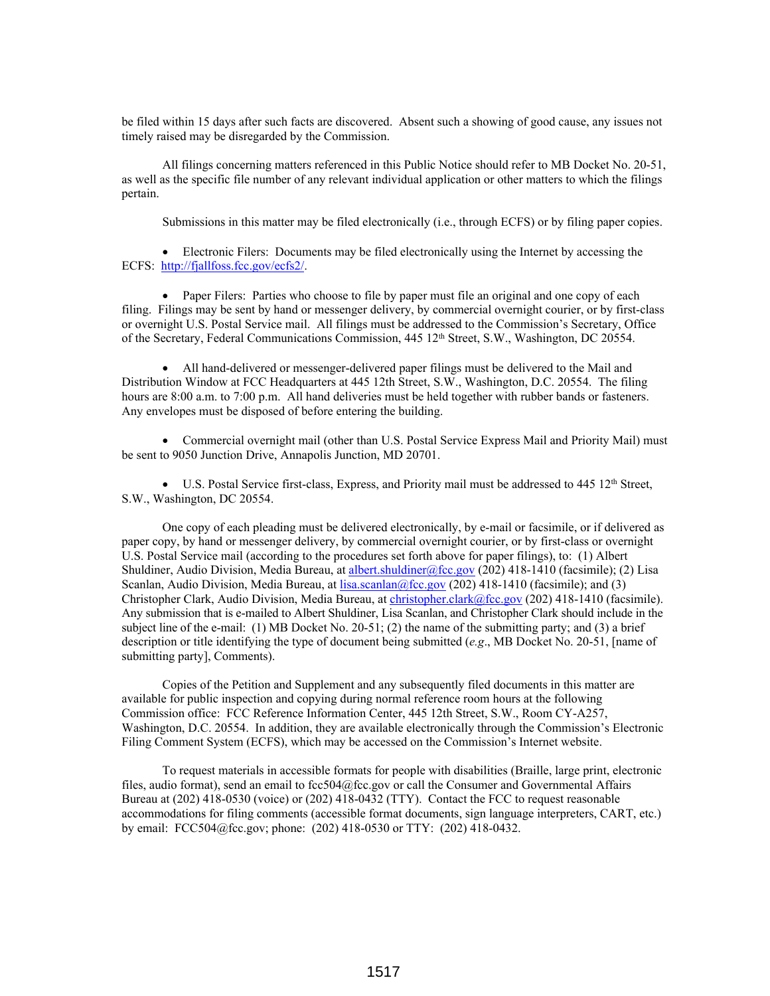be filed within 15 days after such facts are discovered. Absent such a showing of good cause, any issues not timely raised may be disregarded by the Commission.

All filings concerning matters referenced in this Public Notice should refer to MB Docket No. 20-51, as well as the specific file number of any relevant individual application or other matters to which the filings pertain.

Submissions in this matter may be filed electronically (i.e., through ECFS) or by filing paper copies.

 Electronic Filers: Documents may be filed electronically using the Internet by accessing the ECFS: http://fjallfoss.fcc.gov/ecfs2/.

• Paper Filers: Parties who choose to file by paper must file an original and one copy of each filing. Filings may be sent by hand or messenger delivery, by commercial overnight courier, or by first-class or overnight U.S. Postal Service mail. All filings must be addressed to the Commission's Secretary, Office of the Secretary, Federal Communications Commission, 445 12th Street, S.W., Washington, DC 20554.

 All hand-delivered or messenger-delivered paper filings must be delivered to the Mail and Distribution Window at FCC Headquarters at 445 12th Street, S.W., Washington, D.C. 20554. The filing hours are 8:00 a.m. to 7:00 p.m. All hand deliveries must be held together with rubber bands or fasteners. Any envelopes must be disposed of before entering the building.

• Commercial overnight mail (other than U.S. Postal Service Express Mail and Priority Mail) must be sent to 9050 Junction Drive, Annapolis Junction, MD 20701.

 $\bullet$  U.S. Postal Service first-class, Express, and Priority mail must be addressed to 445 12<sup>th</sup> Street, S.W., Washington, DC 20554.

One copy of each pleading must be delivered electronically, by e-mail or facsimile, or if delivered as paper copy, by hand or messenger delivery, by commercial overnight courier, or by first-class or overnight U.S. Postal Service mail (according to the procedures set forth above for paper filings), to: (1) Albert Shuldiner, Audio Division, Media Bureau, at albert.shuldiner@fcc.gov (202) 418-1410 (facsimile); (2) Lisa Scanlan, Audio Division, Media Bureau, at lisa.scanlan@fcc.gov (202) 418-1410 (facsimile); and (3) Christopher Clark, Audio Division, Media Bureau, at christopher.clark@fcc.gov (202) 418-1410 (facsimile). Any submission that is e-mailed to Albert Shuldiner, Lisa Scanlan, and Christopher Clark should include in the subject line of the e-mail: (1) MB Docket No. 20-51; (2) the name of the submitting party; and (3) a brief description or title identifying the type of document being submitted (*e.g*., MB Docket No. 20-51, [name of submitting party], Comments).

Copies of the Petition and Supplement and any subsequently filed documents in this matter are available for public inspection and copying during normal reference room hours at the following Commission office: FCC Reference Information Center, 445 12th Street, S.W., Room CY-A257, Washington, D.C. 20554. In addition, they are available electronically through the Commission's Electronic Filing Comment System (ECFS), which may be accessed on the Commission's Internet website.

To request materials in accessible formats for people with disabilities (Braille, large print, electronic files, audio format), send an email to fcc504@fcc.gov or call the Consumer and Governmental Affairs Bureau at (202) 418-0530 (voice) or (202) 418-0432 (TTY). Contact the FCC to request reasonable accommodations for filing comments (accessible format documents, sign language interpreters, CART, etc.) by email: FCC504@fcc.gov; phone: (202) 418-0530 or TTY: (202) 418-0432.